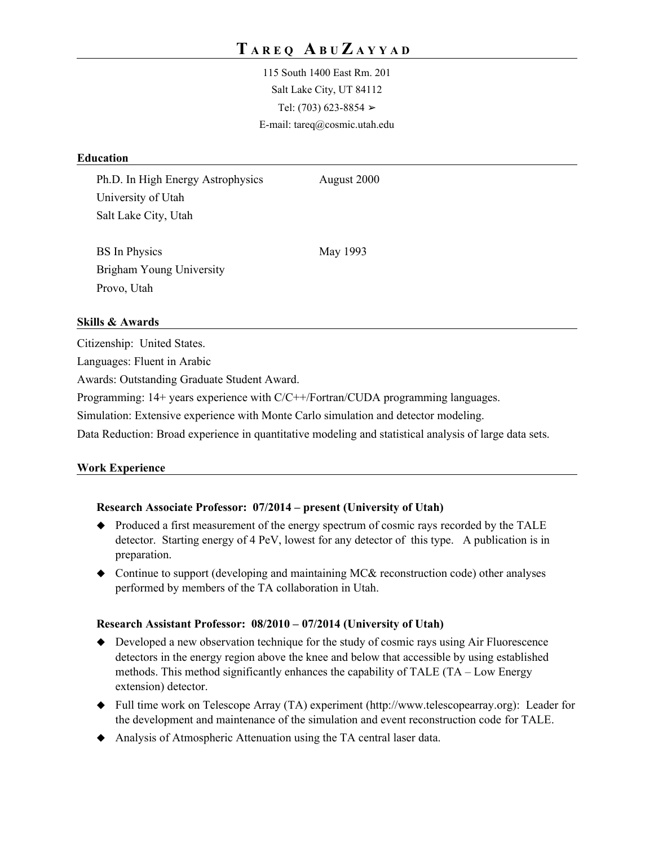115 South 1400 East Rm. 201 Salt Lake City, UT 84112 Tel:  $(703)$  623-8854  $>$ E-mail: tareq@cosmic.utah.edu

### **Education**

Ph.D. In High Energy Astrophysics August 2000 University of Utah Salt Lake City, Utah

BS In Physics May 1993 Brigham Young University Provo, Utah

## **Skills & Awards**

Citizenship: United States.

Languages: Fluent in Arabic

Awards: Outstanding Graduate Student Award.

Programming: 14+ years experience with C/C++/Fortran/CUDA programming languages.

Simulation: Extensive experience with Monte Carlo simulation and detector modeling.

Data Reduction: Broad experience in quantitative modeling and statistical analysis of large data sets.

#### **Work Experience**

#### **Research Associate Professor: 07/2014 – present (University of Utah)**

- Produced a first measurement of the energy spectrum of cosmic rays recorded by the TALE detector. Starting energy of 4 PeV, lowest for any detector of this type. A publication is in preparation.
- Continue to support (developing and maintaining MC& reconstruction code) other analyses performed by members of the TA collaboration in Utah.

#### **Research Assistant Professor: 08/2010 – 07/2014 (University of Utah)**

- $\blacklozenge$  Developed a new observation technique for the study of cosmic rays using Air Fluorescence detectors in the energy region above the knee and below that accessible by using established methods. This method significantly enhances the capability of TALE (TA – Low Energy extension) detector.
- Full time work on Telescope Array (TA) experiment (http://www.telescopearray.org): Leader for the development and maintenance of the simulation and event reconstruction code for TALE.
- Analysis of Atmospheric Attenuation using the TA central laser data.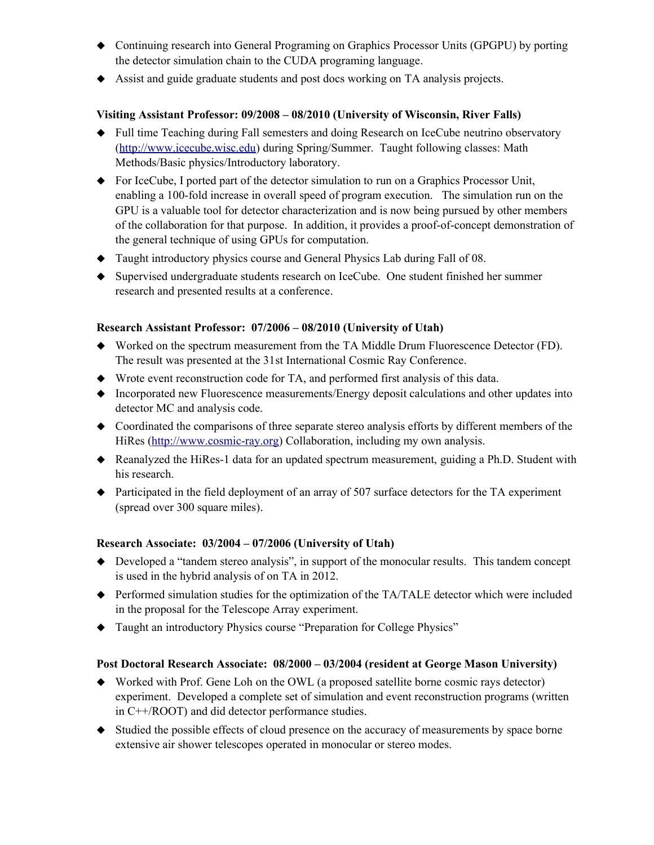- Continuing research into General Programing on Graphics Processor Units (GPGPU) by porting the detector simulation chain to the CUDA programing language.
- Assist and guide graduate students and post docs working on TA analysis projects.

## **Visiting Assistant Professor: 09/2008 – 08/2010 (University of Wisconsin, River Falls)**

- Full time Teaching during Fall semesters and doing Research on IceCube neutrino observatory [\(http://www.icecube.wisc.edu\)](http://www.icecube.wisc.edu/) during Spring/Summer. Taught following classes: Math Methods/Basic physics/Introductory laboratory.
- For IceCube, I ported part of the detector simulation to run on a Graphics Processor Unit, enabling a 100-fold increase in overall speed of program execution. The simulation run on the GPU is a valuable tool for detector characterization and is now being pursued by other members of the collaboration for that purpose. In addition, it provides a proof-of-concept demonstration of the general technique of using GPUs for computation.
- Taught introductory physics course and General Physics Lab during Fall of 08.
- Supervised undergraduate students research on IceCube. One student finished her summer research and presented results at a conference.

## **Research Assistant Professor: 07/2006 – 08/2010 (University of Utah)**

- Worked on the spectrum measurement from the TA Middle Drum Fluorescence Detector (FD). The result was presented at the 31st International Cosmic Ray Conference.
- Wrote event reconstruction code for TA, and performed first analysis of this data.
- Incorporated new Fluorescence measurements/Energy deposit calculations and other updates into detector MC and analysis code.
- Coordinated the comparisons of three separate stereo analysis efforts by different members of the HiRes [\(http://www.cosmic-ray.org\)](http://http://www.cosmic-ray.org) Collaboration, including my own analysis.
- Reanalyzed the HiRes-1 data for an updated spectrum measurement, guiding a Ph.D. Student with his research.
- Participated in the field deployment of an array of 507 surface detectors for the TA experiment (spread over 300 square miles).

## **Research Associate: 03/2004 – 07/2006 (University of Utah)**

- Developed a "tandem stereo analysis", in support of the monocular results. This tandem concept is used in the hybrid analysis of on TA in 2012.
- Performed simulation studies for the optimization of the TA/TALE detector which were included in the proposal for the Telescope Array experiment.
- Taught an introductory Physics course "Preparation for College Physics"

## **Post Doctoral Research Associate: 08/2000 – 03/2004 (resident at George Mason University)**

- Worked with Prof. Gene Loh on the OWL (a proposed satellite borne cosmic rays detector) experiment. Developed a complete set of simulation and event reconstruction programs (written in C++/ROOT) and did detector performance studies.
- Studied the possible effects of cloud presence on the accuracy of measurements by space borne extensive air shower telescopes operated in monocular or stereo modes.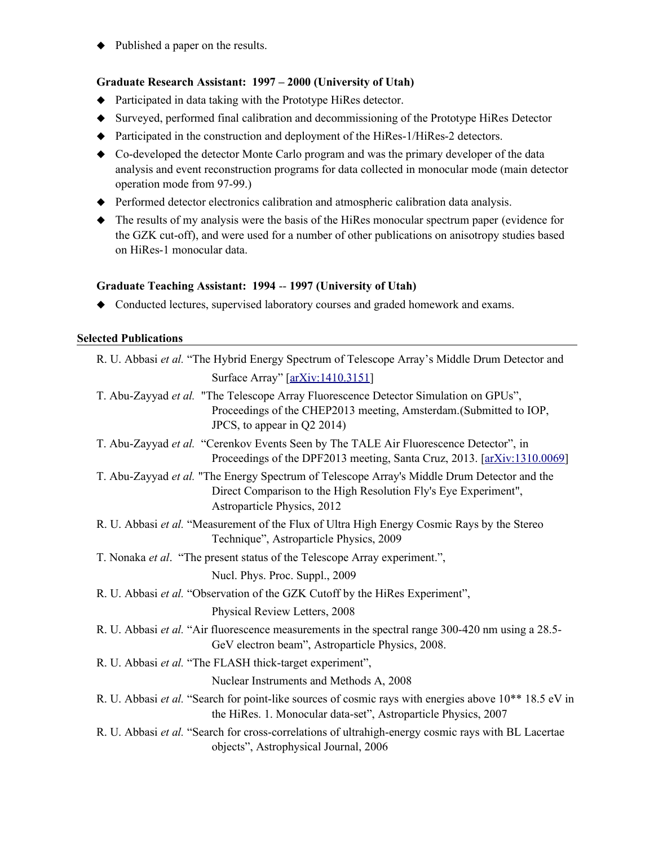• Published a paper on the results.

### **Graduate Research Assistant: 1997 – 2000 (University of Utah)**

- Participated in data taking with the Prototype HiRes detector.
- Surveyed, performed final calibration and decommissioning of the Prototype HiRes Detector
- Participated in the construction and deployment of the HiRes-1/HiRes-2 detectors.
- Co-developed the detector Monte Carlo program and was the primary developer of the data analysis and event reconstruction programs for data collected in monocular mode (main detector operation mode from 97-99.)
- Performed detector electronics calibration and atmospheric calibration data analysis.
- The results of my analysis were the basis of the HiRes monocular spectrum paper (evidence for the GZK cut-off), and were used for a number of other publications on anisotropy studies based on HiRes-1 monocular data.

#### **Graduate Teaching Assistant: 1994** -- **1997 (University of Utah)**

Conducted lectures, supervised laboratory courses and graded homework and exams.

#### **Selected Publications**

| R. U. Abbasi et al. "The Hybrid Energy Spectrum of Telescope Array's Middle Drum Detector and                                                                                                 |
|-----------------------------------------------------------------------------------------------------------------------------------------------------------------------------------------------|
| Surface Array" [arXiv:1410.3151]                                                                                                                                                              |
| T. Abu-Zayyad et al. "The Telescope Array Fluorescence Detector Simulation on GPUs",<br>Proceedings of the CHEP2013 meeting, Amsterdam. (Submitted to IOP,<br>JPCS, to appear in Q2 2014)     |
| T. Abu-Zayyad et al. "Cerenkov Events Seen by The TALE Air Fluorescence Detector", in<br>Proceedings of the DPF2013 meeting, Santa Cruz, 2013. [arXiv:1310.0069]                              |
| T. Abu-Zayyad et al. "The Energy Spectrum of Telescope Array's Middle Drum Detector and the<br>Direct Comparison to the High Resolution Fly's Eye Experiment",<br>Astroparticle Physics, 2012 |
| R. U. Abbasi et al. "Measurement of the Flux of Ultra High Energy Cosmic Rays by the Stereo<br>Technique", Astroparticle Physics, 2009                                                        |
| T. Nonaka et al. "The present status of the Telescope Array experiment.",                                                                                                                     |
| Nucl. Phys. Proc. Suppl., 2009                                                                                                                                                                |
| R. U. Abbasi et al. "Observation of the GZK Cutoff by the HiRes Experiment",                                                                                                                  |
| Physical Review Letters, 2008                                                                                                                                                                 |
| R. U. Abbasi et al. "Air fluorescence measurements in the spectral range 300-420 nm using a 28.5-<br>GeV electron beam", Astroparticle Physics, 2008.                                         |
| R. U. Abbasi et al. "The FLASH thick-target experiment",                                                                                                                                      |
| Nuclear Instruments and Methods A, 2008                                                                                                                                                       |
| R. U. Abbasi et al. "Search for point-like sources of cosmic rays with energies above 10 <sup>**</sup> 18.5 eV in<br>the HiRes. 1. Monocular data-set", Astroparticle Physics, 2007           |
| R. U. Abbasi et al. "Search for cross-correlations of ultrahigh-energy cosmic rays with BL Lacertae<br>objects", Astrophysical Journal, 2006                                                  |